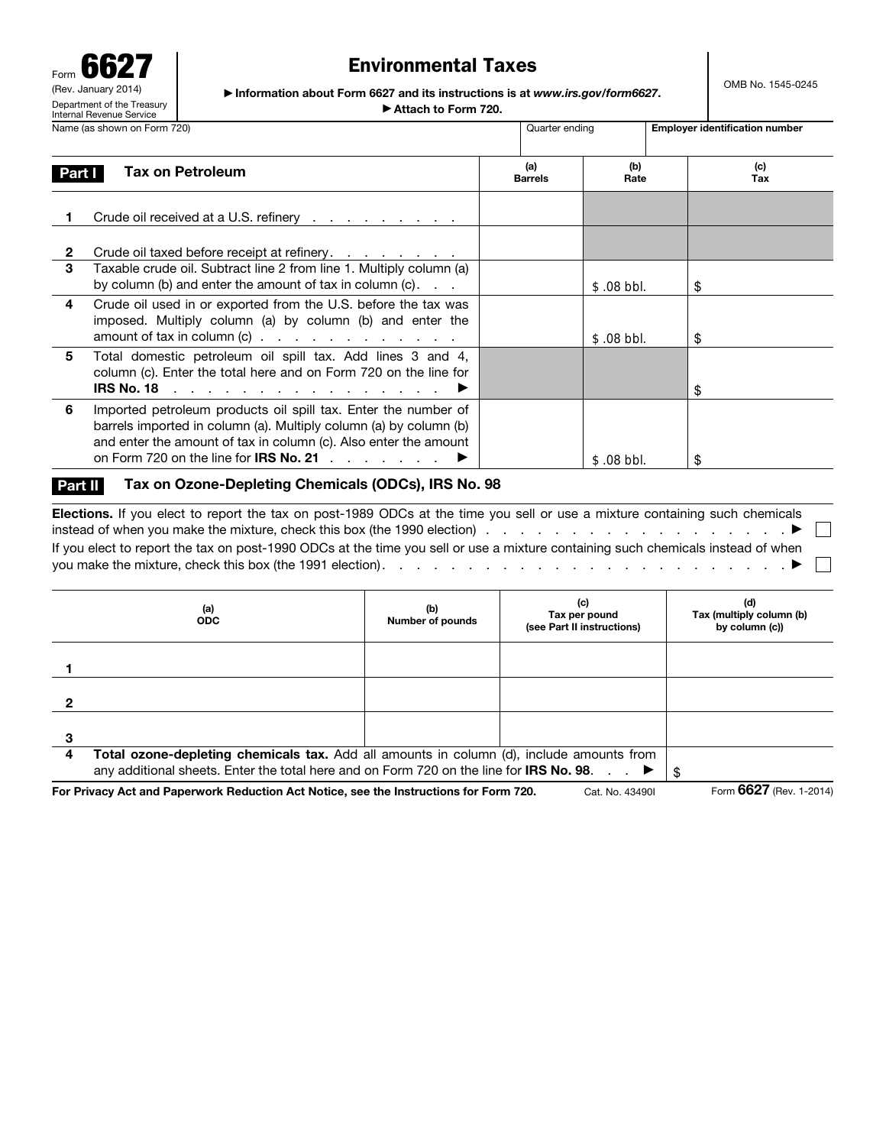Form 6627 (Rev. January 20 Department of the Treasury Internal Revenue Service

# Environmental Taxes

OMB No. 1545-0245

▶ Information about Form 6627 and its instructions is at *www.irs.gov/form6627*. ▶ Attach to Form 720.

|                   | Name (as shown on Form 720)                                                                                                                                                                                                                                                         | Quarter ending        |             | <b>Employer identification number</b> |  |  |  |
|-------------------|-------------------------------------------------------------------------------------------------------------------------------------------------------------------------------------------------------------------------------------------------------------------------------------|-----------------------|-------------|---------------------------------------|--|--|--|
| <b>Part I</b>     | Tax on Petroleum                                                                                                                                                                                                                                                                    | (a)<br><b>Barrels</b> | (b)<br>Rate | (c)<br>Tax                            |  |  |  |
|                   | Crude oil received at a U.S. refinery                                                                                                                                                                                                                                               |                       |             |                                       |  |  |  |
| $\mathbf{2}$<br>3 | Crude oil taxed before receipt at refinery.<br>Taxable crude oil. Subtract line 2 from line 1. Multiply column (a)                                                                                                                                                                  |                       |             |                                       |  |  |  |
|                   | by column (b) and enter the amount of tax in column $(c)$ . $\ldots$                                                                                                                                                                                                                |                       | $$.08$ bbl. | \$                                    |  |  |  |
| 4                 | Crude oil used in or exported from the U.S. before the tax was<br>imposed. Multiply column (a) by column (b) and enter the                                                                                                                                                          |                       |             |                                       |  |  |  |
|                   | amount of tax in column $(c)$                                                                                                                                                                                                                                                       |                       | $$.08$ bbl. | \$                                    |  |  |  |
| 5.                | Total domestic petroleum oil spill tax. Add lines 3 and 4,<br>column (c). Enter the total here and on Form 720 on the line for                                                                                                                                                      |                       |             |                                       |  |  |  |
|                   | IRS No. 18 $\ldots$ $\ldots$ $\ldots$ $\ldots$ $\ldots$ $\ldots$                                                                                                                                                                                                                    |                       |             | \$                                    |  |  |  |
| 6                 | Imported petroleum products oil spill tax. Enter the number of<br>barrels imported in column (a). Multiply column (a) by column (b)<br>and enter the amount of tax in column (c). Also enter the amount<br>on Form 720 on the line for <b>IRS No. 21</b> $\ldots$ $\ldots$ $\ldots$ |                       | $$.08$ bbl. | \$                                    |  |  |  |

#### Part II Tax on Ozone-Depleting Chemicals (ODCs), IRS No. 98

Elections. If you elect to report the tax on post-1989 ODCs at the time you sell or use a mixture containing such chemicals instead of when you make the mixture, check this box (the 1990 election) . . . . . . . . . . . . . . . . . . ▶  $\mathbf{1}$ If you elect to report the tax on post-1990 ODCs at the time you sell or use a mixture containing such chemicals instead of when you make the mixture, check this box (the 1991 election). . . . . . . . . . . . . . . . . . . . . . . . ▶

|   | (a)<br><b>ODC</b>                                                                                                                                                                   | (b)<br>Number of pounds | (c)<br>Tax per pound<br>(see Part II instructions) | (d)<br>Tax (multiply column (b)<br>by column (c)) |  |  |  |
|---|-------------------------------------------------------------------------------------------------------------------------------------------------------------------------------------|-------------------------|----------------------------------------------------|---------------------------------------------------|--|--|--|
|   |                                                                                                                                                                                     |                         |                                                    |                                                   |  |  |  |
|   |                                                                                                                                                                                     |                         |                                                    |                                                   |  |  |  |
|   |                                                                                                                                                                                     |                         |                                                    |                                                   |  |  |  |
|   |                                                                                                                                                                                     |                         |                                                    |                                                   |  |  |  |
| 4 | Total ozone-depleting chemicals tax. Add all amounts in column (d), include amounts from<br>any additional sheets. Enter the total here and on Form 720 on the line for IRS No. 98. |                         |                                                    |                                                   |  |  |  |

For Privacy Act and Paperwork Reduction Act Notice, see the Instructions for Form 720. Cat. No. 43490I Form 6627 (Rev. 1-2014)

 $\overline{\phantom{0}}$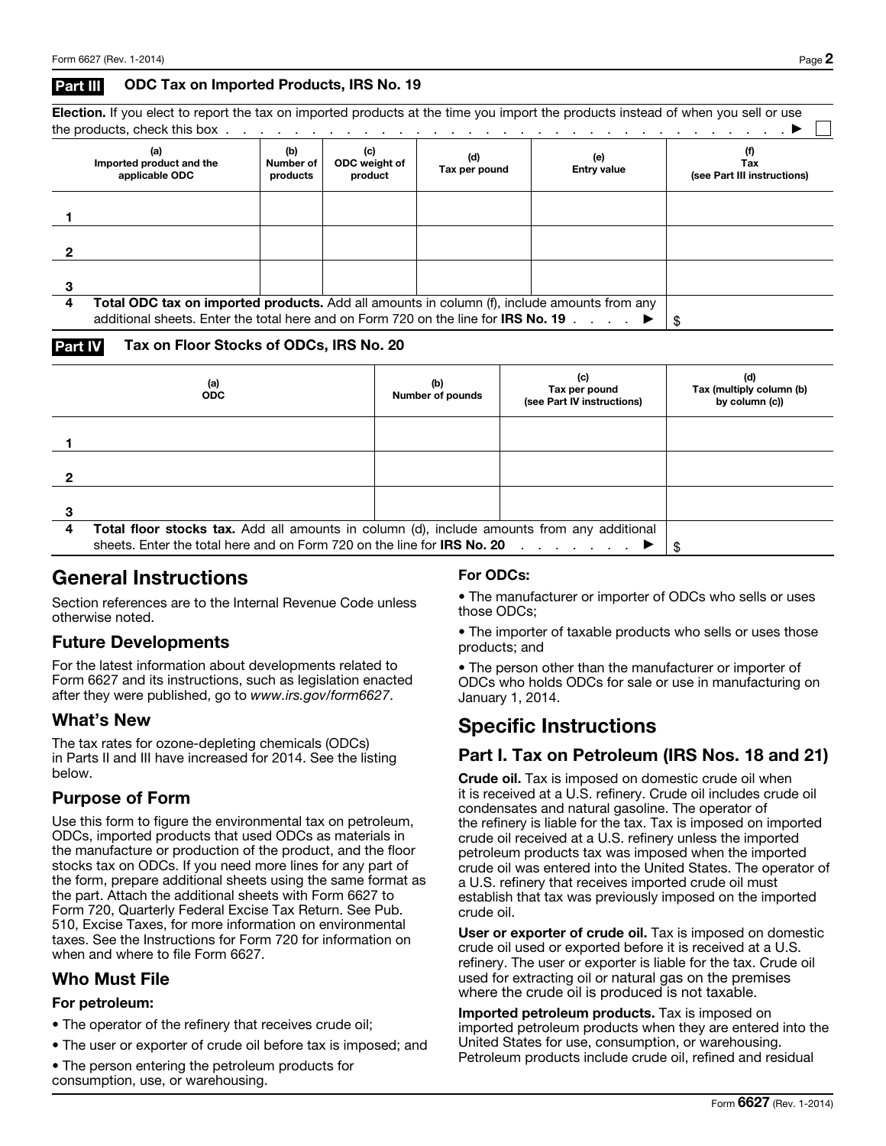#### Part III ODC Tax on Imported Products, IRS No. 19

Election. If you elect to report the tax on imported products at the time you import the products instead of when you sell or use the products, check this box . . . . . . . . . . . . . . . . . . . . . . . . . . . . . . . . . ▶

|   | (a)<br>Imported product and the<br>applicable ODC                                                  | (b)<br>Number of<br>products | (c)<br>ODC weight of<br>product | (d)<br>Tax per pound | (e)<br><b>Entry value</b> | (f)<br>Tax<br>(see Part III instructions) |  |  |
|---|----------------------------------------------------------------------------------------------------|------------------------------|---------------------------------|----------------------|---------------------------|-------------------------------------------|--|--|
|   |                                                                                                    |                              |                                 |                      |                           |                                           |  |  |
|   |                                                                                                    |                              |                                 |                      |                           |                                           |  |  |
|   |                                                                                                    |                              |                                 |                      |                           |                                           |  |  |
|   |                                                                                                    |                              |                                 |                      |                           |                                           |  |  |
|   |                                                                                                    |                              |                                 |                      |                           |                                           |  |  |
|   |                                                                                                    |                              |                                 |                      |                           |                                           |  |  |
| 4 | <b>Total ODC tax on imported products.</b> Add all amounts in column (f), include amounts from any |                              |                                 |                      |                           |                                           |  |  |
|   | additional sheets. Enter the total here and on Form 720 on the line for <b>IRS No. 19</b> $\ldots$ |                              |                                 |                      |                           |                                           |  |  |

#### Part IV Tax on Floor Stocks of ODCs, IRS No. 20

|   | (a)<br><b>ODC</b>                                                                          | (b)<br>Number of pounds | (c)<br>Tax per pound<br>(see Part IV instructions) | (d)<br>Tax (multiply column (b)<br>by column (c)) |  |  |
|---|--------------------------------------------------------------------------------------------|-------------------------|----------------------------------------------------|---------------------------------------------------|--|--|
|   |                                                                                            |                         |                                                    |                                                   |  |  |
|   |                                                                                            |                         |                                                    |                                                   |  |  |
|   |                                                                                            |                         |                                                    |                                                   |  |  |
|   |                                                                                            |                         |                                                    |                                                   |  |  |
|   |                                                                                            |                         |                                                    |                                                   |  |  |
|   |                                                                                            |                         |                                                    |                                                   |  |  |
| 4 | Total floor stocks tax. Add all amounts in column (d), include amounts from any additional |                         |                                                    |                                                   |  |  |
|   |                                                                                            |                         |                                                    |                                                   |  |  |

## General Instructions

Section references are to the Internal Revenue Code unless otherwise noted.

## Future Developments

For the latest information about developments related to Form 6627 and its instructions, such as legislation enacted after they were published, go to *www.irs.gov/form6627*.

### What's New

The tax rates for ozone-depleting chemicals (ODCs) in Parts II and III have increased for 2014. See the listing below.

## Purpose of Form

Use this form to figure the environmental tax on petroleum, ODCs, imported products that used ODCs as materials in the manufacture or production of the product, and the floor stocks tax on ODCs. If you need more lines for any part of the form, prepare additional sheets using the same format as the part. Attach the additional sheets with Form 6627 to Form 720, Quarterly Federal Excise Tax Return. See Pub. 510, Excise Taxes, for more information on environmental taxes. See the Instructions for Form 720 for information on when and where to file Form 6627.

## Who Must File

#### For petroleum:

- The operator of the refinery that receives crude oil;
- The user or exporter of crude oil before tax is imposed; and
- The person entering the petroleum products for consumption, use, or warehousing.

#### For ODCs:

• The manufacturer or importer of ODCs who sells or uses those ODCs;

• The importer of taxable products who sells or uses those products; and

• The person other than the manufacturer or importer of ODCs who holds ODCs for sale or use in manufacturing on January 1, 2014.

# Specific Instructions

## Part I. Tax on Petroleum (IRS Nos. 18 and 21)

Crude oil. Tax is imposed on domestic crude oil when it is received at a U.S. refinery. Crude oil includes crude oil condensates and natural gasoline. The operator of the refinery is liable for the tax. Tax is imposed on imported crude oil received at a U.S. refinery unless the imported petroleum products tax was imposed when the imported crude oil was entered into the United States. The operator of a U.S. refinery that receives imported crude oil must establish that tax was previously imposed on the imported crude oil.

User or exporter of crude oil. Tax is imposed on domestic crude oil used or exported before it is received at a U.S. refinery. The user or exporter is liable for the tax. Crude oil used for extracting oil or natural gas on the premises where the crude oil is produced is not taxable.

Imported petroleum products. Tax is imposed on imported petroleum products when they are entered into the United States for use, consumption, or warehousing. Petroleum products include crude oil, refined and residual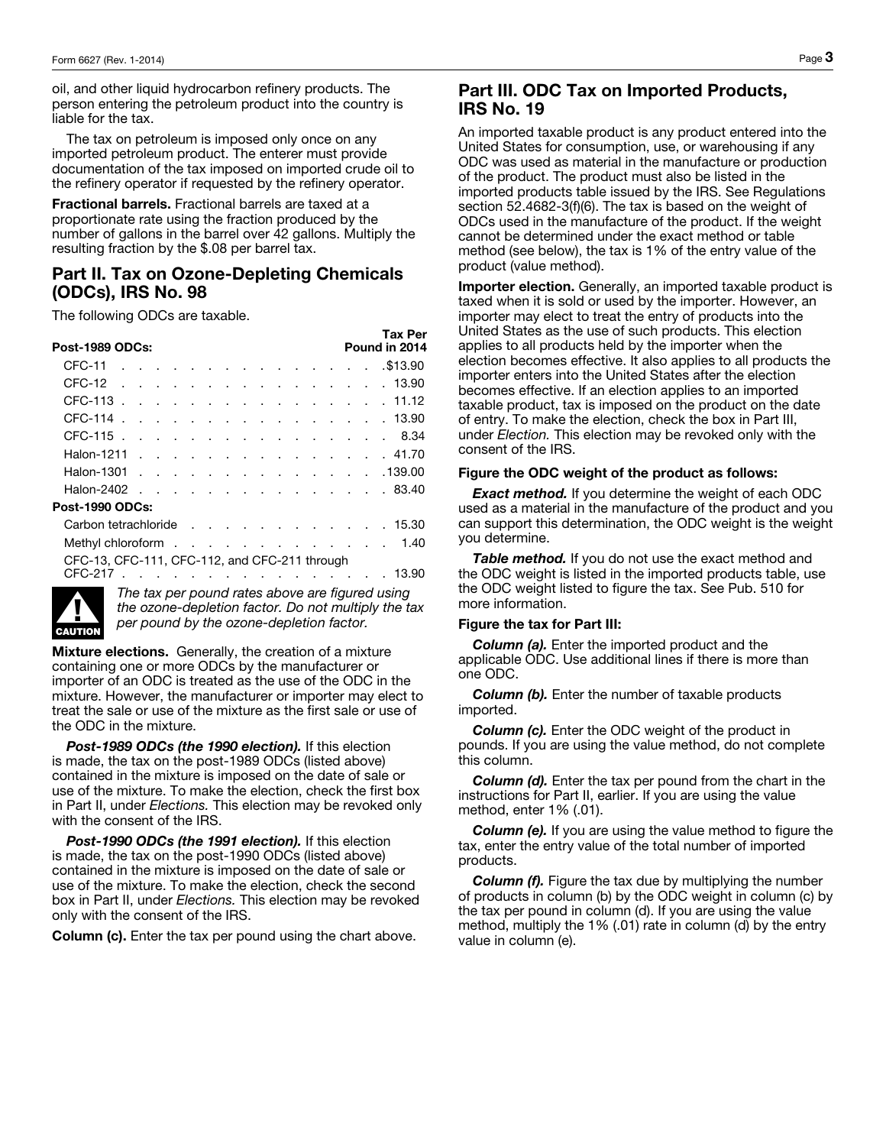oil, and other liquid hydrocarbon refinery products. The person entering the petroleum product into the country is liable for the tax.

The tax on petroleum is imposed only once on any imported petroleum product. The enterer must provide documentation of the tax imposed on imported crude oil to the refinery operator if requested by the refinery operator.

Fractional barrels. Fractional barrels are taxed at a proportionate rate using the fraction produced by the number of gallons in the barrel over 42 gallons. Multiply the resulting fraction by the \$.08 per barrel tax.

### Part II. Tax on Ozone-Depleting Chemicals (ODCs), IRS No. 98

Tax Per

The following ODCs are taxable.

|                                                                                                                            |  | ТАХ ГЕГ       |
|----------------------------------------------------------------------------------------------------------------------------|--|---------------|
| <b>Post-1989 ODCs:</b>                                                                                                     |  | Pound in 2014 |
| CFC-11<br>. \$13.90                                                                                                        |  |               |
| CFC-12<br>. 13.90                                                                                                          |  |               |
| CFC-113.<br>. 11.12                                                                                                        |  |               |
| CFC-114.<br>. 13.90                                                                                                        |  |               |
| CFC-115                                                                                                                    |  | 8.34          |
| Halon-1211<br>. 41.70                                                                                                      |  |               |
| Halon-1301<br>. 139.00                                                                                                     |  |               |
| Halon-2402 83.40                                                                                                           |  |               |
| <b>Post-1990 ODCs:</b>                                                                                                     |  |               |
| Carbon tetrachloride 15.30                                                                                                 |  |               |
| Methyl chloroform                                                                                                          |  | 1.40          |
| CFC-13, CFC-111, CFC-112, and CFC-211 through                                                                              |  |               |
| CFC-217<br>and the state of the state of the state of the state of the state of the state of the state of the state of the |  | .13.90        |
|                                                                                                                            |  |               |



*The tax per pound rates above are figured using the ozone-depletion factor. Do not multiply the tax per pound by the ozone-depletion factor.* 

**Mixture elections.** Generally, the creation of a mixture containing one or more ODCs by the manufacturer or importer of an ODC is treated as the use of the ODC in the mixture. However, the manufacturer or importer may elect to treat the sale or use of the mixture as the first sale or use of the ODC in the mixture.

*Post-1989 ODCs (the 1990 election).* If this election is made, the tax on the post-1989 ODCs (listed above) contained in the mixture is imposed on the date of sale or use of the mixture. To make the election, check the first box in Part II, under *Elections.* This election may be revoked only with the consent of the IRS.

*Post-1990 ODCs (the 1991 election).* If this election is made, the tax on the post-1990 ODCs (listed above) contained in the mixture is imposed on the date of sale or use of the mixture. To make the election, check the second box in Part II, under *Elections.* This election may be revoked only with the consent of the IRS.

**Column (c).** Enter the tax per pound using the chart above.

#### Part III. ODC Tax on Imported Products, IRS No. 19

An imported taxable product is any product entered into the United States for consumption, use, or warehousing if any ODC was used as material in the manufacture or production of the product. The product must also be listed in the imported products table issued by the IRS. See Regulations section 52.4682-3(f)(6). The tax is based on the weight of ODCs used in the manufacture of the product. If the weight cannot be determined under the exact method or table method (see below), the tax is 1% of the entry value of the product (value method).

Importer election. Generally, an imported taxable product is taxed when it is sold or used by the importer. However, an importer may elect to treat the entry of products into the United States as the use of such products. This election applies to all products held by the importer when the election becomes effective. It also applies to all products the importer enters into the United States after the election becomes effective. If an election applies to an imported taxable product, tax is imposed on the product on the date of entry. To make the election, check the box in Part III, under *Election.* This election may be revoked only with the consent of the IRS.

#### Figure the ODC weight of the product as follows:

**Exact method.** If you determine the weight of each ODC used as a material in the manufacture of the product and you can support this determination, the ODC weight is the weight you determine.

*Table method.* If you do not use the exact method and the ODC weight is listed in the imported products table, use the ODC weight listed to figure the tax. See Pub. 510 for more information.

#### Figure the tax for Part III:

*Column (a).* Enter the imported product and the applicable ODC. Use additional lines if there is more than one ODC.

*Column (b).* Enter the number of taxable products imported.

*Column (c).* Enter the ODC weight of the product in pounds. If you are using the value method, do not complete this column.

*Column (d).* Enter the tax per pound from the chart in the instructions for Part II, earlier. If you are using the value method, enter 1% (.01).

**Column (e).** If you are using the value method to figure the tax, enter the entry value of the total number of imported products.

*Column (f).* Figure the tax due by multiplying the number of products in column (b) by the ODC weight in column (c) by the tax per pound in column (d). If you are using the value method, multiply the 1% (.01) rate in column (d) by the entry value in column (e).